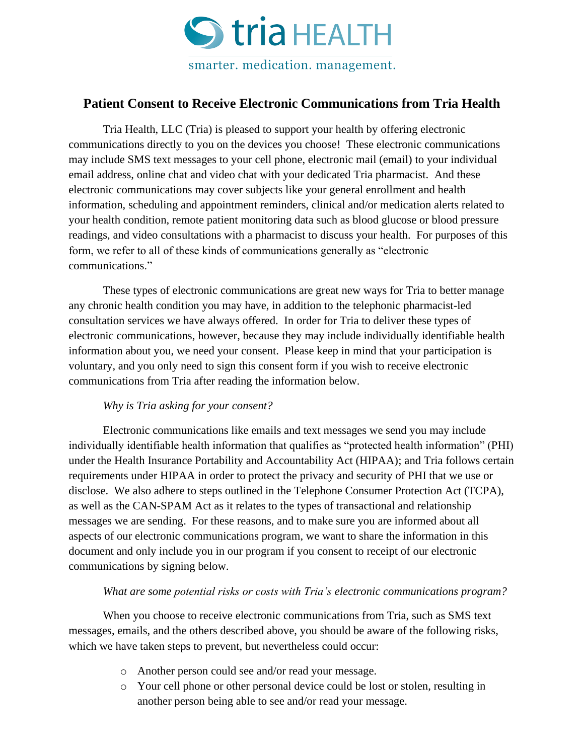

# **Patient Consent to Receive Electronic Communications from Tria Health**

Tria Health, LLC (Tria) is pleased to support your health by offering electronic communications directly to you on the devices you choose! These electronic communications may include SMS text messages to your cell phone, electronic mail (email) to your individual email address, online chat and video chat with your dedicated Tria pharmacist. And these electronic communications may cover subjects like your general enrollment and health information, scheduling and appointment reminders, clinical and/or medication alerts related to your health condition, remote patient monitoring data such as blood glucose or blood pressure readings, and video consultations with a pharmacist to discuss your health. For purposes of this form, we refer to all of these kinds of communications generally as "electronic communications."

These types of electronic communications are great new ways for Tria to better manage any chronic health condition you may have, in addition to the telephonic pharmacist-led consultation services we have always offered. In order for Tria to deliver these types of electronic communications, however, because they may include individually identifiable health information about you, we need your consent. Please keep in mind that your participation is voluntary, and you only need to sign this consent form if you wish to receive electronic communications from Tria after reading the information below.

## *Why is Tria asking for your consent?*

Electronic communications like emails and text messages we send you may include individually identifiable health information that qualifies as "protected health information" (PHI) under the Health Insurance Portability and Accountability Act (HIPAA); and Tria follows certain requirements under HIPAA in order to protect the privacy and security of PHI that we use or disclose. We also adhere to steps outlined in the Telephone Consumer Protection Act (TCPA), as well as the CAN-SPAM Act as it relates to the types of transactional and relationship messages we are sending. For these reasons, and to make sure you are informed about all aspects of our electronic communications program, we want to share the information in this document and only include you in our program if you consent to receipt of our electronic communications by signing below.

#### *What are some potential risks or costs with Tria's electronic communications program?*

When you choose to receive electronic communications from Tria, such as SMS text messages, emails, and the others described above, you should be aware of the following risks, which we have taken steps to prevent, but nevertheless could occur:

- o Another person could see and/or read your message.
- o Your cell phone or other personal device could be lost or stolen, resulting in another person being able to see and/or read your message.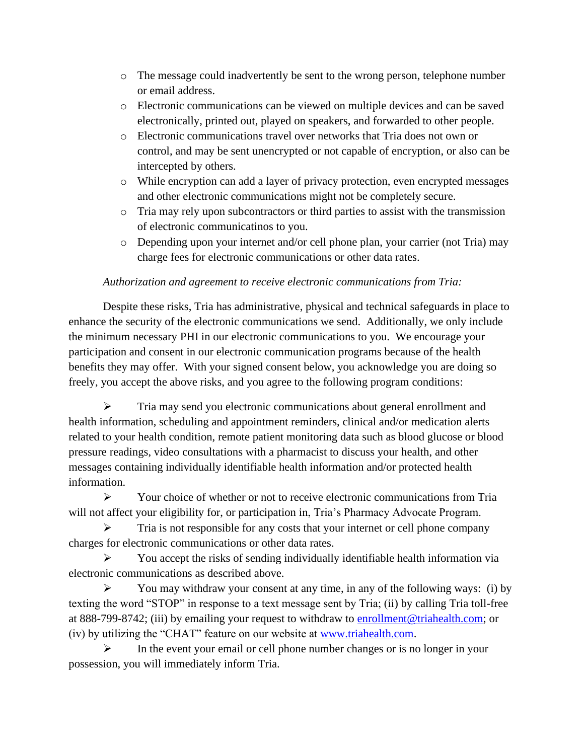- o The message could inadvertently be sent to the wrong person, telephone number or email address.
- o Electronic communications can be viewed on multiple devices and can be saved electronically, printed out, played on speakers, and forwarded to other people.
- o Electronic communications travel over networks that Tria does not own or control, and may be sent unencrypted or not capable of encryption, or also can be intercepted by others.
- o While encryption can add a layer of privacy protection, even encrypted messages and other electronic communications might not be completely secure.
- o Tria may rely upon subcontractors or third parties to assist with the transmission of electronic communicatinos to you.
- $\circ$  Depending upon your internet and/or cell phone plan, your carrier (not Tria) may charge fees for electronic communications or other data rates.

## *Authorization and agreement to receive electronic communications from Tria:*

Despite these risks, Tria has administrative, physical and technical safeguards in place to enhance the security of the electronic communications we send. Additionally, we only include the minimum necessary PHI in our electronic communications to you. We encourage your participation and consent in our electronic communication programs because of the health benefits they may offer. With your signed consent below, you acknowledge you are doing so freely, you accept the above risks, and you agree to the following program conditions:

➢ Tria may send you electronic communications about general enrollment and health information, scheduling and appointment reminders, clinical and/or medication alerts related to your health condition, remote patient monitoring data such as blood glucose or blood pressure readings, video consultations with a pharmacist to discuss your health, and other messages containing individually identifiable health information and/or protected health information.

 $\triangleright$  Your choice of whether or not to receive electronic communications from Tria will not affect your eligibility for, or participation in, Tria's Pharmacy Advocate Program.

 $\triangleright$  Tria is not responsible for any costs that your internet or cell phone company charges for electronic communications or other data rates.

 $\triangleright$  You accept the risks of sending individually identifiable health information via electronic communications as described above.

 $\triangleright$  You may withdraw your consent at any time, in any of the following ways: (i) by texting the word "STOP" in response to a text message sent by Tria; (ii) by calling Tria toll-free at 888-799-8742; (iii) by emailing your request to withdraw to [enrollment@triahealth.com;](mailto:enrollment@triahealth.com) or (iv) by utilizing the "CHAT" feature on our website at [www.triahealth.com.](http://www.triahealth.com/)

 $\triangleright$  In the event your email or cell phone number changes or is no longer in your possession, you will immediately inform Tria.